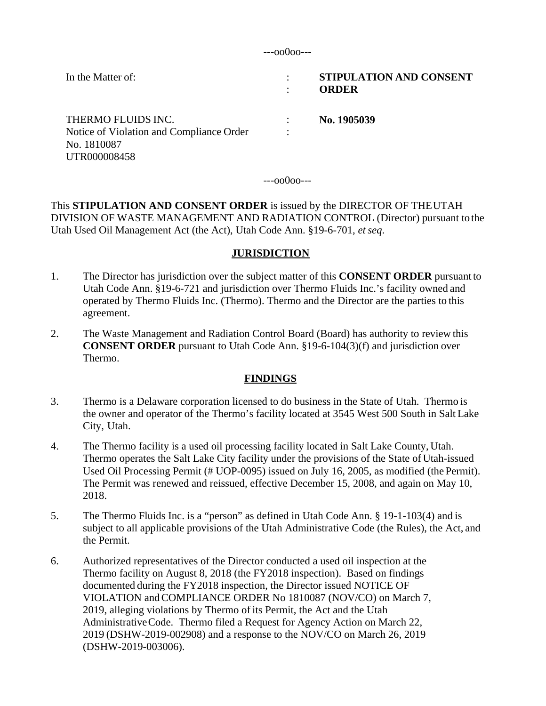---oo0oo---

| In the Matter of:                                                                             | ٠<br>٠ | <b>STIPULATION AND CONSENT</b><br><b>ORDER</b> |
|-----------------------------------------------------------------------------------------------|--------|------------------------------------------------|
| THERMO FLUIDS INC.<br>Notice of Violation and Compliance Order<br>No. 1810087<br>UTR000008458 | ٠      | No. 1905039                                    |

---oo0oo---

This **STIPULATION AND CONSENT ORDER** is issued by the DIRECTOR OF THE UTAH DIVISION OF WASTE MANAGEMENT AND RADIATION CONTROL (Director) pursuant to the Utah Used Oil Management Act (the Act), Utah Code Ann. §19-6-701, *et seq*.

# **JURISDICTION**

- 1. The Director has jurisdiction over the subject matter of this **CONSENT ORDER** pursuant to Utah Code Ann. §19-6-721 and jurisdiction over Thermo Fluids Inc.'s facility owned and operated by Thermo Fluids Inc. (Thermo). Thermo and the Director are the parties to this agreement.
- 2. The Waste Management and Radiation Control Board (Board) has authority to review this **CONSENT ORDER** pursuant to Utah Code Ann. §19-6-104(3)(f) and jurisdiction over Thermo.

# **FINDINGS**

- 3. Thermo is a Delaware corporation licensed to do business in the State of Utah. Thermo is the owner and operator of the Thermo's facility located at 3545 West 500 South in Salt Lake City, Utah.
- 4. The Thermo facility is a used oil processing facility located in Salt Lake County, Utah. Thermo operates the Salt Lake City facility under the provisions of the State of Utah-issued Used Oil Processing Permit (# UOP-0095) issued on July 16, 2005, as modified (the Permit). The Permit was renewed and reissued, effective December 15, 2008, and again on May 10, 2018.
- 5. The Thermo Fluids Inc. is a "person" as defined in Utah Code Ann. § 19-1-103(4) and is subject to all applicable provisions of the Utah Administrative Code (the Rules), the Act, and the Permit.
- 6. Authorized representatives of the Director conducted a used oil inspection at the Thermo facility on August 8, 2018 (the FY2018 inspection). Based on findings documented during the FY2018 inspection, the Director issued NOTICE OF VIOLATION and COMPLIANCE ORDER No 1810087 (NOV/CO) on March 7, 2019, alleging violations by Thermo of its Permit, the Act and the Utah Administrative Code. Thermo filed a Request for Agency Action on March 22, 2019 (DSHW-2019-002908) and a response to the NOV/CO on March 26, 2019 (DSHW-2019-003006).